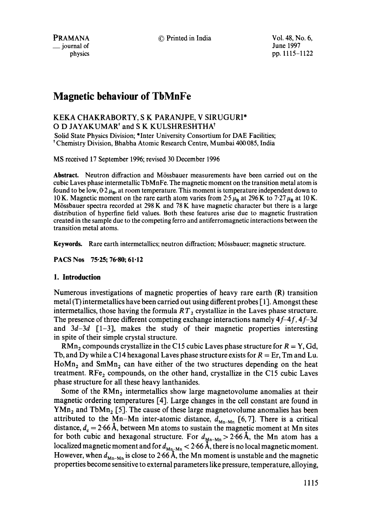PRAMANA \_\_ journal of physics © Printed in India Vol. 48, No. 6,

June 1997 pp. 1115-1122

# **Magnetic behaviour of TbMnFe**

# KEKA CHAKRABORTY, S K PARANJPE, V SIRUGURI\* O D JAYAKUMAR<sup>†</sup> and S K KULSHRESHTHA<sup>†</sup>

Solid State Physics Division; \*Inter University Consortium for DAE Facilities; t Chemistry Division, Bhabha Atomic Research Centre, Mumbai 400 085, India

MS received 17 September 1996; revised 30 December 1996

**Abstract.** Neutron diffraction and M6ssbauer measurements have been carried out on the cubic Laves phase intermetallic TbMnFe. The magnetic moment on the transition metal atom is found to be low,  $0.2 \mu_B$ , at room temperature. This moment is temperature independent down to 10 K. Magnetic moment on the rare earth atom varies from 2.5  $\mu_B$  at 296 K to 7.27  $\mu_B$  at 10 K. Mössbauer spectra recorded at  $298K$  and  $78K$  have magnetic character but there is a large distribution of hyperfine field values. Both these features arise due to magnetic frustration created in the sample due to the competing ferro and antiferromagnetic interactions between the transition metal atoms.

**Keywords.** Rare earth intermetallics; neutron diffraction; M6ssbauer; magnetic structure.

**PACS Nos 75.25; 76.80; 61.12** 

# **1. Introduction**

Numerous investigations of magnetic properties of heavy rare earth (R) transition metal  $(T)$  intermetallics have been carried out using different probes  $[1]$ . Amongst these intermetallics, those having the formula  $RT<sub>2</sub>$  crystallize in the Laves phase structure. The presence of three different competing exchange interactions namely *4f-4f, 4f-3d*  and  $3d-3d$   $\lceil 1-3 \rceil$ , makes the study of their magnetic properties interesting in spite of their simple crystal structure.

RMn, compounds crystallize in the C15 cubic Laves phase structure for  $R = Y$ , Gd, Tb, and Dy while a C14 hexagonal Laves phase structure exists for  $R = Er$ , Tm and Lu.  $Hom<sub>2</sub>$  and  $SmMn<sub>2</sub>$  can have either of the two structures depending on the heat treatment.  $\text{RF}e_2$  compounds, on the other hand, crystallize in the C15 cubic Laves phase structure for all these heavy lanthanides.

Some of the  $RMn<sub>2</sub>$  intermetallics show large magnetovolume anomalies at their magnetic ordering temperatures [4]. Large changes in the cell constant are found in  $YMn_2$  and TbMn<sub>2</sub> [5]. The cause of these large magnetovolume anomalies has been attributed to the Mn-Mn inter-atomic distance,  $d_{M_n-M_n}$  [6,7]. There is a critical distance,  $d_c = 2.66$  A, between Mn atoms to sustain the magnetic moment at Mn sites for both cubic and hexagonal structure. For  $d_{Mn-Mn} > 2.66$  Å, the Mn atom has a localized magnetic moment and for  $d_{M_n-M_n} < 2.66$  A, there is no local magnetic moment. However, when  $d_{M_0-M_0}$  is close to 2.66 A, the Mn moment is unstable and the magnetic properties become sensitive to external parameters like pressure, temperature, alloying,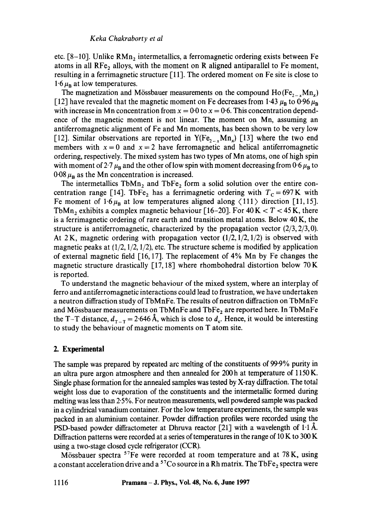etc.  $[8-10]$ . Unlike  $RMn<sub>2</sub>$  intermetallics, a ferromagnetic ordering exists between Fe atoms in all  $\text{RF}e_2$  alloys, with the moment on R aligned antiparallel to Fe moment, resulting in a ferrimagnetic structure [11]. The ordered moment on Fe site is close to  $1.6~\mu_{\rm B}$  at low temperatures.

The magnetization and Mössbauer measurements on the compound  $Ho(Fe_{2-x}Mn_x)$ [12] have revealed that the magnetic moment on Fe decreases from 1.43  $\mu_B$  to 0.96  $\mu_B$ with increase in Mn concentration from  $x = 0.0$  to  $x = 0.6$ . This concentration dependence of the magnetic moment is not linear. The moment on Mn, assuming an antiferromagnetic alignment of Fe and Mn moments, has been shown to be very low [12]. Similar observations are reported in Y(Fe<sub>2x</sub>Mn<sub>x</sub>) [13] where the two end members with  $x = 0$  and  $x = 2$  have ferromagnetic and helical antiferromagnetic ordering, respectively. The mixed system has two types of Mn atoms, one of high spin with moment of 2.7  $\mu_B$  and the other of low spin with moment decreasing from 0.6  $\mu_B$  to  $0.08 \mu_{\rm B}$  as the Mn concentration is increased.

The intermetallics  $TbMn_2$  and  $TbFe_2$  form a solid solution over the entire concentration range [14]. TbFe<sub>2</sub> has a ferrimagnetic ordering with  $T_c = 697$ K with Fe moment of 1.6 $\mu_B$  at low temperatures aligned along  $\langle 111 \rangle$  direction [11, 15]. TbMn<sub>2</sub> exhibits a complex magnetic behaviour [16-20]. For  $40 K < T < 45 K$ , there is a ferrimagnetic ordering of rare earth and transition metal atoms. Below 40 K, the structure is antiferromagnetic, characterized by the propagation vector  $(2/3, 2/3, 0)$ . At 2 K, magnetic ordering with propagation vector  $(1/2, 1/2, 1/2)$  is observed with magnetic peaks at  $(1/2, 1/2, 1/2)$ , etc. The structure scheme is modified by application of external magnetic field [16, 17]. The replacement of 4% Mn by Fe changes the magnetic structure drastically  $[17, 18]$  where rhombohedral distortion below 70 K is reported.

To understand the magnetic behaviour of the mixed system, where an interplay of ferro and antiferromagnetic interactions could lead to frustration, we have undertaken a neutron diffraction study of TbMnFe. The results of neutron diffraction on TbMnFe and Mössbauer measurements on TbMnFe and TbFe<sub>2</sub> are reported here. In TbMnFe the T-T distance,  $d_{\text{r}-\text{r}} = 2.646 \text{ Å}$ , which is close to  $d_{\text{c}}$ . Hence, it would be interesting to study the behaviour of magnetic moments on T atom site.

#### **2. Experimental**

The sample was prepared by repeated arc melting of the constituents of 99.9% purity in an ultra pure argon atmosphere and then annealed for 200h at temperature of 1150 K. Single phase formation for the annealed samples was tested by X-ray diffraction. The total weight loss due to evaporation of the constituents and the intermetallic formed during melting was less than 2.5 %. For neutron measurements, well powdered sample was packed in a cylindrical vanadium container. For the low temperature experiments, the sample was packed in an aluminium container. Powder diffraction profiles were recorded using the PSD-based powder diffractometer at Dhruva reactor  $[21]$  with a wavelength of 1.1 Å. Diffraction patterns were recorded at a series of temperatures in the range of 10 K to 300 K using a two-stage closed cycle refrigerator (CCR).

Mössbauer spectra <sup>57</sup>Fe were recorded at room temperature and at 78K, using a constant acceleration drive and a  $57C$ o source in a Rh matrix. The TbFe<sub>2</sub> spectra were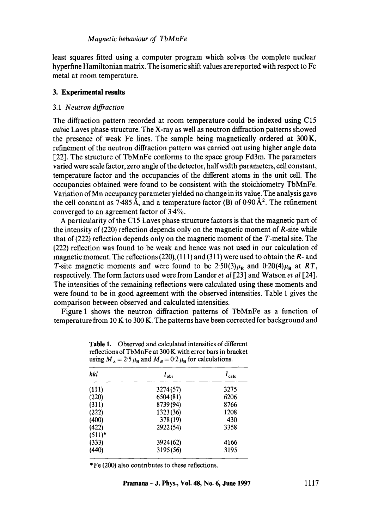least squares fitted using a computer program which solves the complete nuclear hyperfine Hamiltonian matrix. The isomeric shift values are reported with respect to Fe metal at room temperature.

## **3. Experimental results**

#### 3.1 *Neutron diffraction*

The diffraction pattern recorded at room temperature could be indexed using C15 cubic Laves phase structure. The X-ray as well as neutron diffraction patterns showed the presence of weak Fe lines. The sample being magnetically ordered at 300 K, refinement of the neutron diffraction pattern was carried out using higher angle data [22]. The structure of TbMnFe conforms to the space group Fd3m. The parameters varied were scale factor, zero angle of the detector, half width parameters, cell constant, temperature factor and the occupancies of the different atoms in the unit cell. The occupancies obtained were found to be consistent with the stoichiometry TbMnFe. Variation of Mn occupancy parameter yielded no change in its value. The analysis gave the cell constant as 7.485 Å, and a temperature factor (B) of  $0.90 \text{\AA}^2$ . The refinement converged to an agreement factor of  $3.4\%$ .

A particularity of the C15 Laves phase structure factors is that the magnetic part of the intensity of (220) reflection depends only on the magnetic moment of R-site while that of (222) reflection depends only on the magnetic moment of the T-metal site. The (222) reflection was found to be weak and hence was not used in our calculation of magnetic moment. The reflections  $(220)$ ,  $(111)$  and  $(311)$  were used to obtain the R- and T-site magnetic moments and were found to be  $2.50(3)\mu_B$  and  $0.20(4)\mu_B$  at *RT*, respectively. The form factors used were from Lander *et al* [23] and Watson *et al* [24]. The intensities of the remaining reflections were calculated using these moments and were found to be in good agreement with the observed intensities. Table 1 gives the comparison between observed and calculated intensities.

Figure 1 shows the neutron diffraction patterns of TbMnFe as a function of temperature from 10 K to 300 K. The patterns have been corrected for background and

| hkl       | $I_{obs}$ | $I_{\text{calc}}$ |
|-----------|-----------|-------------------|
| (111)     | 3274(57)  | 3275              |
| (220)     | 6504(81)  | 6206              |
| (311)     | 8739(94)  | 8766              |
| (222)     | 1323(36)  | 1208              |
| (400)     | 378 (19)  | 430               |
| (422)     | 2922(54)  | 3358              |
| $(511)^*$ |           |                   |
| (333)     | 3924(62)  | 4166              |
| (440)     | 3195(56)  | 3195              |

**Table** 1. Observed and calculated intensities of different reflections of TbMnFe at 300 K with error bars in bracket using  $M_A = 2.5 \mu_B$  and  $M_B = 0.2 \mu_B$  for calculations.

\* Fe (200) also contributes to these reflections.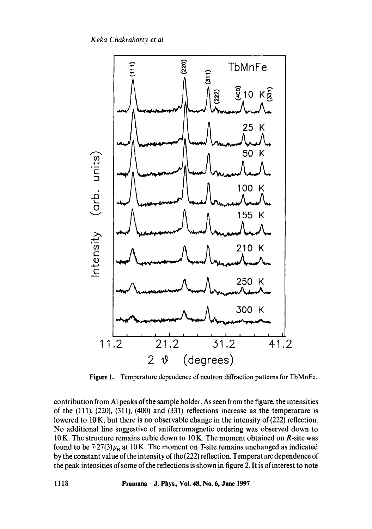*Keka Chakraborty et al* 



**Figure 1.**  Temperature dependence of neutron diffraction patterns for TbMnFe.

contribution from A1 peaks of the sample holder. As seen from the figure, the intensities of the (111), (220), (311), (400) and (331) reflections increase as the temperature is lowered to  $10 \text{ K}$ , but there is no observable change in the intensity of (222) reflection. No additional line suggestive of antiferromagnetic ordering was observed down to 10 K. The structure remains cubic down to 10 K. The moment obtained on R-site was found to be  $7.27(3)\mu_B$  at 10 K. The moment on T-site remains unchanged as indicated by the constant value of the intensity of the (222) reflection. Temperature dependence of the peak intensities of some of the reflections is shown in figure 2. It is of interest to note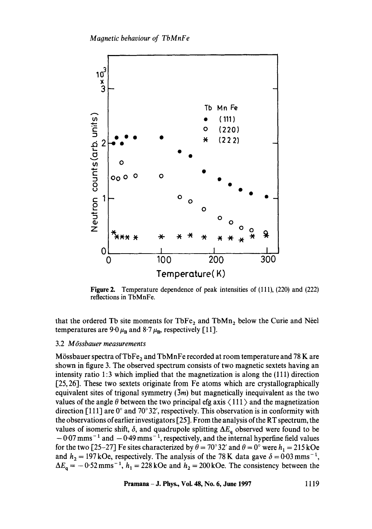

**Figure 2.**  Temperature dependence of peak intensities of (111), (220) and (222) reflections in TbMnFe.

that the ordered Tb site moments for  $TbFe<sub>2</sub>$  and  $TbMn<sub>2</sub>$  below the Curie and Néel temperatures are 9.0  $\mu_{\rm B}$  and 8.7  $\mu_{\rm B}$ , respectively [11].

#### 3.2 *M6ssbauer measurements*

Mössbauer spectra of TbFe<sub>2</sub> and TbMnFe recorded at room temperature and 78 K are shown in figure 3. The observed spectrum consists of two magnetic sextets having an intensity ratio 1:3 which implied that the magnetization is along the (111) direction [25, 26]. These two sextets originate from Fe atoms which are crystallographically equivalent sites of trigonal symmetry  $(3m)$  but magnetically inequivalent as the two values of the angle  $\theta$  between the two principal efg axis  $\langle 111 \rangle$  and the magnetization direction [111] are  $0^{\circ}$  and  $70^{\circ}32'$ , respectively. This observation is in conformity with the observations of earlier investigators [25]. From the analysis of the RT spectrum, the values of isomeric shift,  $\delta$ , and quadrupole splitting  $\Delta E_q$  observed were found to be  $-0.07$  mms<sup>-1</sup> and  $-0.49$  mms<sup>-1</sup>, respectively, and the internal hyperfine field values for the two [25-27] Fe sites characterized by  $\theta = 70^{\circ}$  32' and  $\theta = 0^{\circ}$  were  $h_1 = 215$  kOe and  $h_2 = 197$  kOe, respectively. The analysis of the 78 K data gave  $\delta = 0.03$  mms<sup>-1</sup>,  $\Delta E_q = -0.52$  mms<sup>-1</sup>,  $h_1 = 228$  kOe and  $h_2 = 200$  kOe. The consistency between the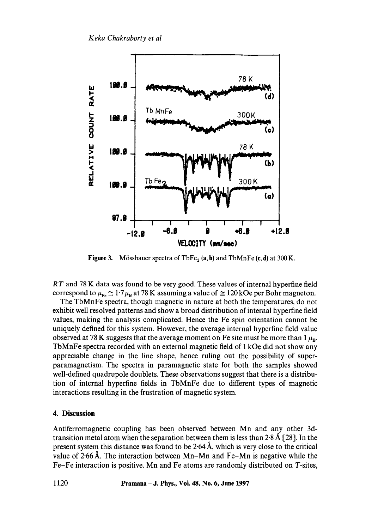

**Figure 3.** Mössbauer spectra of  $TbFe<sub>2</sub>$  (a, b) and  $TbMnFe$  (c, d) at 300 K.

*RT* and 78 K data was found to be very good. These values of internal hyperfine field correspond to  $\mu_{Fe} \approx 1.7 \mu_B$  at 78 K assuming a value of  $\approx 120$  kOe per Bohr magneton.

The TbMnFe spectra, though magnetic in nature at both the temperatures, do not exhibit well resolved patterns and show a broad distribution of internal hyperfine field values, making the analysis complicated. Hence the Fe spin orientation cannot be uniquely defined for this system. However, the average internal hyperfine field value observed at 78 K suggests that the average moment on Fe site must be more than  $1 \mu_B$ . TbMnFe spectra recorded with an external magnetic field of 1 kOe did not show any appreciable change in the line shape, hence ruling out the possibility of superparamagnetism. The spectra in paramagnetic state for both the samples showed well-defined quadrupole doublets. These observations suggest that there is a distribution of internal hyperfine fields in TbMnFe due to different types of magnetic interactions resulting in the frustration of magnetic system.

# **4. Discussion**

Antiferromagnetic coupling has been observed between Mn and any other 3dtransition metal atom when the separation between them is less than  $2.8 \text{ Å}$  [28]. In the present system this distance was found to be  $2.64 \text{ Å}$ , which is very close to the critical value of  $2.66 \text{ Å}$ . The interaction between Mn-Mn and Fe-Mn is negative while the Fe-Fe interaction is positive. Mn and Fe atoms are randomly distributed on T-sites,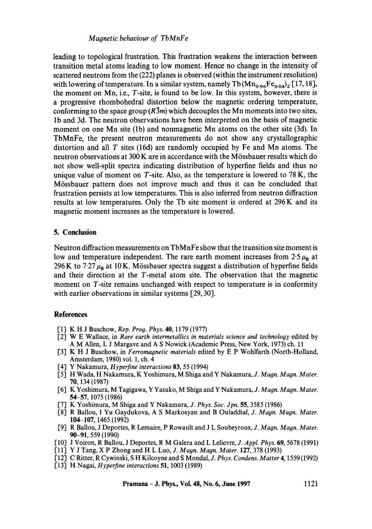## *Magnetic behaviour of TbMnFe*

leading to topological frustration. This frustration weakens the interaction between transition metal atoms leading to low moment. Hence no change in the intensity of scattered neutrons from the (222) planes is observed (within the instrument resolution) with lowering of temperature. In a similar system, namely Tb  $(Mn_{0.96}Fe_{0.04})_2$  [17, 18], the moment on  $Mn$ , i.e.,  $T$ -site, is found to be low. In this system, however, there is a progressive rhombohedral distortion below the magnetic ordering temperature, conforming to the space group  $(R\overline{3}m)$  which decouples the Mn moments into two sites, lb and 3d. The neutron observations have been interpreted on the basis of magnetic moment on one Mn site (lb) and nonmagnetic Mn atoms on the other site (3d). In TbMnFe, the present neutron measurements do not show any crystallographic distortion and all  $T$  sites (16d) are randomly occupied by Fe and Mn atoms. The neutron observations at 300 K are in accordance with the Mössbauer results which do not show well-split spectra indicating distribution of hyperfine fields and thus no unique value of moment on  $T$ -site. Also, as the temperature is lowered to 78 K, the M6ssbauer pattern does not improve much and thus it can be concluded that frustration persists at low temperatures. This is also inferred from neutron diffraction results at low temperatures. Only the Tb site moment is ordered at 296 K and its magnetic moment increases as the temperature is lowered.

# 5. Conclusion

Neutron diffraction measurements on TbMnFe show that the transition site moment is low and temperature independent. The rare earth moment increases from  $2.5 \mu_B$  at 296 K to 7.27  $\mu_B$  at 10 K. Mössbauer spectra suggest a distribution of hyperfine fields and their direction at the T-metal atom site. The observation that the magnetic moment on T-site remains unchanged with respect to temperature is in conformity with earlier observations in similar systems [29, 30].

#### **References**

- [1] K H J Buschow, *Rep. Prog. Phys.* 40, 1179 (1977)
- [2] W E Wallace, in *Rare earth intermetallics in materials science and technology* edited by A M Allen, L J Margave and A S Nowick (Academic Press, New York, 1973) ch. 11
- [3] K H J Buschow, in *Ferromagnetic materials* edited by E P Wohlfarth (North-Holland, Amsterdam, 1980) vol. 1, ch. 4
- [4] Y Nakamura, *Hyperfine interactions* 83, 55 (1994)
- [5] H Wada, H Nakamura, K Yoshimura, M Shiga and Y Nakamura, *J. Magn. Magn. Mater.*  70, 134 (1987)
- [6] K Yoshimura, M Tagigawa, Y Yasuko, M Shiga and Y Nakamura, *J. Magn. Magn. Mater.*  54-57, 1075 (1986)
- [7] K Yoshimura, M Shiga and Y Nakamura, *J. Phys. Soc. Jpn.* 55, 3585 (1986)
- [8] R Ballou, I Yu Gaydukova, A S Markosyan and B Ouladdiaf, *J. Magn. Magn. Mater.*  104-107, 1465 (1992)
- I-9] R Ballou, J Deportes, R Lemaire, P Rowault and J L Soubeyroux, *J. Magn. Magn. Mater.*  90-91, 559 (1990)
- [10] J Voiron, R Ballou, J Deportes, R M Galera and L Lelievre, *J. Appl. Phys.* 69, 5678 (1991)
- [11] Y J Tang, X P Zhong and H L Luo, *J. Magn. Magn. Mater.* 127, 378 (1993)
- 1-12] CRitter, R Cywinski, S H Kilcoyne and S Mondal, *J. Phys. Condens. Matter* 4, 1559 (1992)
- [13] H Nagai, *Hyperfine interactions* 51, 1003 (1989)